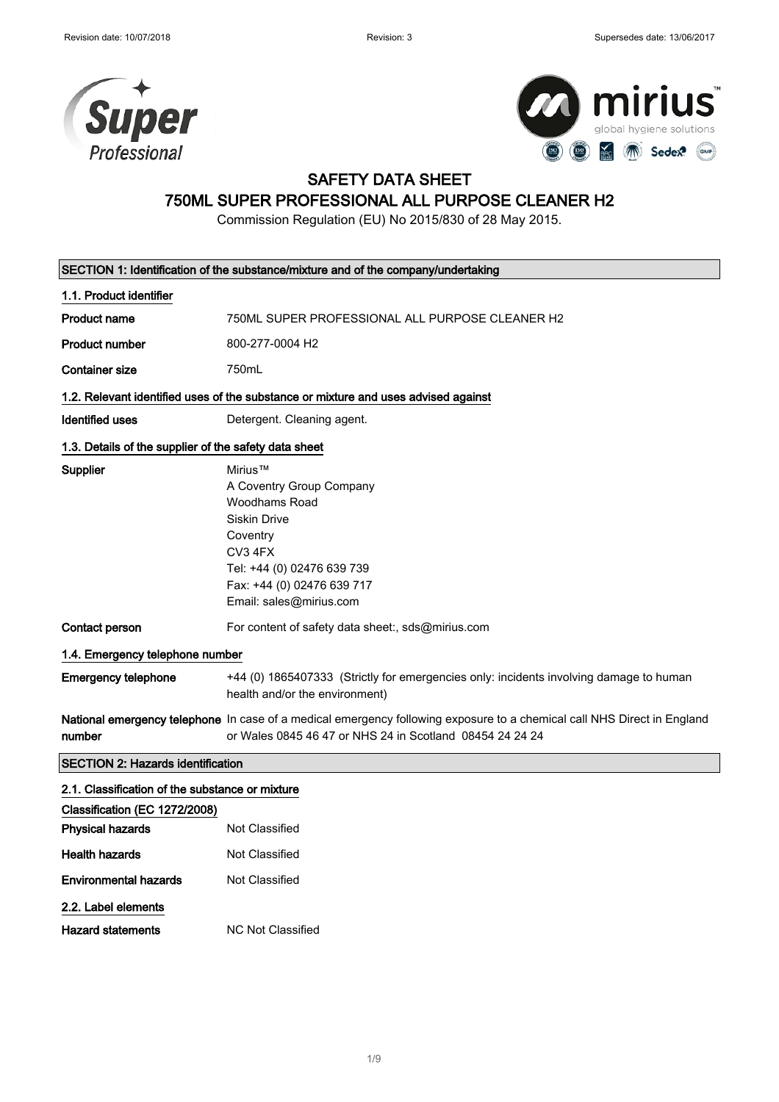



# SAFETY DATA SHEET

# 750ML SUPER PROFESSIONAL ALL PURPOSE CLEANER H2

Commission Regulation (EU) No 2015/830 of 28 May 2015.

|                                                       | SECTION 1: Identification of the substance/mixture and of the company/undertaking                                                                                                          |  |
|-------------------------------------------------------|--------------------------------------------------------------------------------------------------------------------------------------------------------------------------------------------|--|
| 1.1. Product identifier                               |                                                                                                                                                                                            |  |
| Product name                                          | 750ML SUPER PROFESSIONAL ALL PURPOSE CLEANER H2                                                                                                                                            |  |
| <b>Product number</b>                                 | 800-277-0004 H <sub>2</sub>                                                                                                                                                                |  |
| <b>Container size</b>                                 | 750mL                                                                                                                                                                                      |  |
|                                                       | 1.2. Relevant identified uses of the substance or mixture and uses advised against                                                                                                         |  |
| <b>Identified uses</b>                                | Detergent. Cleaning agent.                                                                                                                                                                 |  |
| 1.3. Details of the supplier of the safety data sheet |                                                                                                                                                                                            |  |
| Supplier                                              | Mirius™<br>A Coventry Group Company<br>Woodhams Road<br><b>Siskin Drive</b><br>Coventry<br>CV3 4FX<br>Tel: +44 (0) 02476 639 739<br>Fax: +44 (0) 02476 639 717<br>Email: sales@mirius.com  |  |
| Contact person                                        | For content of safety data sheet:, sds@mirius.com                                                                                                                                          |  |
| 1.4. Emergency telephone number                       |                                                                                                                                                                                            |  |
| <b>Emergency telephone</b>                            | +44 (0) 1865407333 (Strictly for emergencies only: incidents involving damage to human<br>health and/or the environment)                                                                   |  |
| number                                                | <b>National emergency telephone</b> In case of a medical emergency following exposure to a chemical call NHS Direct in England<br>or Wales 0845 46 47 or NHS 24 in Scotland 08454 24 24 24 |  |
| <b>SECTION 2: Hazards identification</b>              |                                                                                                                                                                                            |  |
| 2.1. Classification of the substance or mixture       |                                                                                                                                                                                            |  |
| Classification (EC 1272/2008)                         |                                                                                                                                                                                            |  |
| <b>Physical hazards</b>                               | <b>Not Classified</b>                                                                                                                                                                      |  |
| <b>Health hazards</b>                                 | Not Classified                                                                                                                                                                             |  |
| <b>Environmental hazards</b>                          | <b>Not Classified</b>                                                                                                                                                                      |  |
| 2.2. Label elements                                   |                                                                                                                                                                                            |  |
| Hazard statements                                     | <b>NC Not Classified</b>                                                                                                                                                                   |  |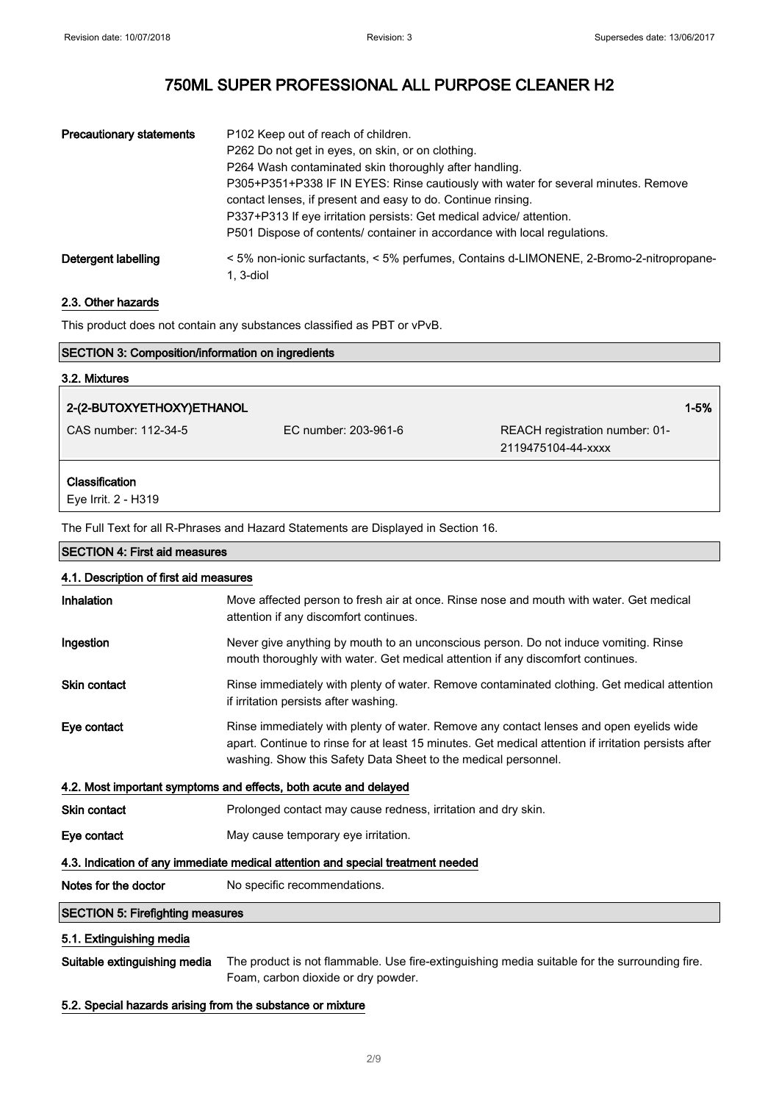| <b>Precautionary statements</b> | P102 Keep out of reach of children.<br>P262 Do not get in eyes, on skin, or on clothing.<br>P264 Wash contaminated skin thoroughly after handling.                                                                                                                                                     |
|---------------------------------|--------------------------------------------------------------------------------------------------------------------------------------------------------------------------------------------------------------------------------------------------------------------------------------------------------|
|                                 | P305+P351+P338 IF IN EYES: Rinse cautiously with water for several minutes. Remove<br>contact lenses, if present and easy to do. Continue rinsing.<br>P337+P313 If eye irritation persists: Get medical advice/attention.<br>P501 Dispose of contents/ container in accordance with local regulations. |
| Detergent labelling             | < 5% non-ionic surfactants, < 5% perfumes, Contains d-LIMONENE, 2-Bromo-2-nitropropane-<br>1. 3-diol                                                                                                                                                                                                   |

### 2.3. Other hazards

This product does not contain any substances classified as PBT or vPvB.

| <b>SECTION 3: Composition/information on ingredients</b>                        |                                                                                                                                                                                                                                                                   |                                                      |
|---------------------------------------------------------------------------------|-------------------------------------------------------------------------------------------------------------------------------------------------------------------------------------------------------------------------------------------------------------------|------------------------------------------------------|
| 3.2. Mixtures                                                                   |                                                                                                                                                                                                                                                                   |                                                      |
| 2-(2-BUTOXYETHOXY)ETHANOL                                                       |                                                                                                                                                                                                                                                                   | $1 - 5%$                                             |
| CAS number: 112-34-5                                                            | EC number: 203-961-6                                                                                                                                                                                                                                              | REACH registration number: 01-<br>2119475104-44-xxxx |
| Classification<br>Eye Irrit. 2 - H319                                           |                                                                                                                                                                                                                                                                   |                                                      |
|                                                                                 | The Full Text for all R-Phrases and Hazard Statements are Displayed in Section 16.                                                                                                                                                                                |                                                      |
| <b>SECTION 4: First aid measures</b>                                            |                                                                                                                                                                                                                                                                   |                                                      |
| 4.1. Description of first aid measures                                          |                                                                                                                                                                                                                                                                   |                                                      |
| Inhalation                                                                      | Move affected person to fresh air at once. Rinse nose and mouth with water. Get medical<br>attention if any discomfort continues.                                                                                                                                 |                                                      |
| Ingestion                                                                       | Never give anything by mouth to an unconscious person. Do not induce vomiting. Rinse<br>mouth thoroughly with water. Get medical attention if any discomfort continues.                                                                                           |                                                      |
| <b>Skin contact</b>                                                             | Rinse immediately with plenty of water. Remove contaminated clothing. Get medical attention<br>if irritation persists after washing.                                                                                                                              |                                                      |
| Eye contact                                                                     | Rinse immediately with plenty of water. Remove any contact lenses and open eyelids wide<br>apart. Continue to rinse for at least 15 minutes. Get medical attention if irritation persists after<br>washing. Show this Safety Data Sheet to the medical personnel. |                                                      |
|                                                                                 | 4.2. Most important symptoms and effects, both acute and delayed                                                                                                                                                                                                  |                                                      |
| <b>Skin contact</b>                                                             | Prolonged contact may cause redness, irritation and dry skin.                                                                                                                                                                                                     |                                                      |
| Eye contact                                                                     | May cause temporary eye irritation.                                                                                                                                                                                                                               |                                                      |
| 4.3. Indication of any immediate medical attention and special treatment needed |                                                                                                                                                                                                                                                                   |                                                      |
| Notes for the doctor                                                            | No specific recommendations.                                                                                                                                                                                                                                      |                                                      |
| <b>SECTION 5: Firefighting measures</b>                                         |                                                                                                                                                                                                                                                                   |                                                      |
| 5.1. Extinguishing media                                                        |                                                                                                                                                                                                                                                                   |                                                      |

Suitable extinguishing media The product is not flammable. Use fire-extinguishing media suitable for the surrounding fire. Foam, carbon dioxide or dry powder.

### 5.2. Special hazards arising from the substance or mixture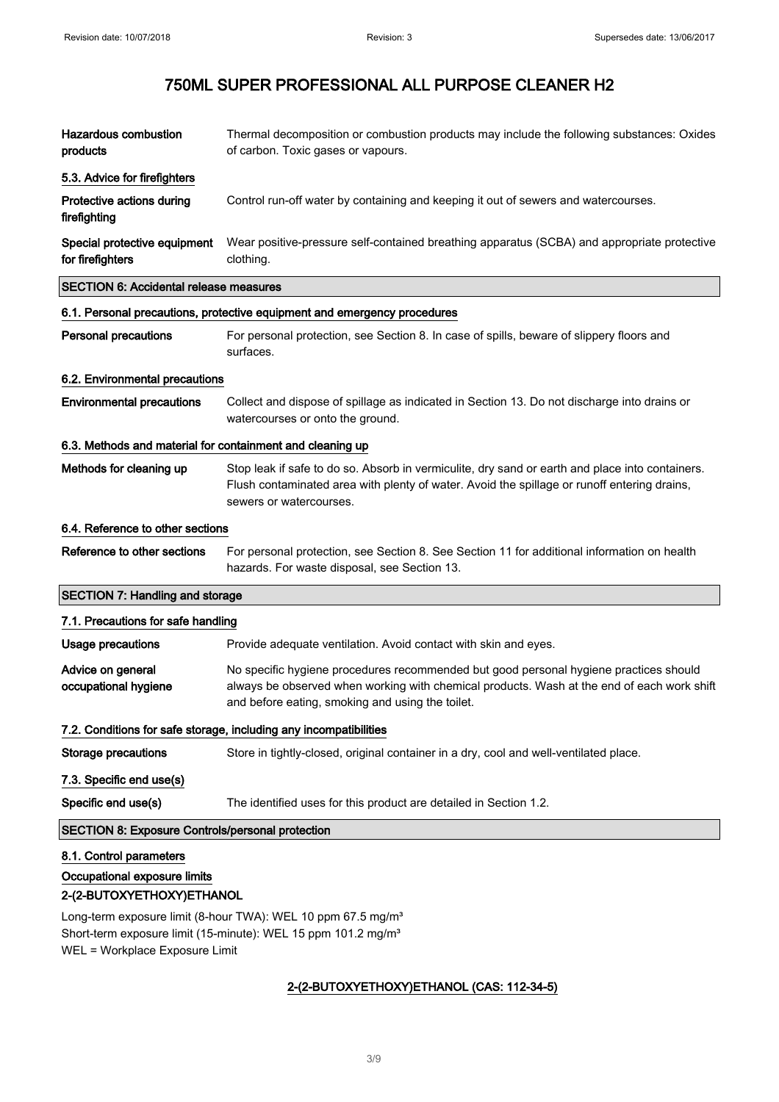| <b>Hazardous combustion</b><br>products                                              | Thermal decomposition or combustion products may include the following substances: Oxides<br>of carbon. Toxic gases or vapours.                                                                                                         |  |
|--------------------------------------------------------------------------------------|-----------------------------------------------------------------------------------------------------------------------------------------------------------------------------------------------------------------------------------------|--|
| 5.3. Advice for firefighters                                                         |                                                                                                                                                                                                                                         |  |
| Protective actions during<br>firefighting                                            | Control run-off water by containing and keeping it out of sewers and watercourses.                                                                                                                                                      |  |
| Special protective equipment<br>for firefighters                                     | Wear positive-pressure self-contained breathing apparatus (SCBA) and appropriate protective<br>clothing.                                                                                                                                |  |
| <b>SECTION 6: Accidental release measures</b>                                        |                                                                                                                                                                                                                                         |  |
|                                                                                      | 6.1. Personal precautions, protective equipment and emergency procedures                                                                                                                                                                |  |
| Personal precautions                                                                 | For personal protection, see Section 8. In case of spills, beware of slippery floors and<br>surfaces.                                                                                                                                   |  |
| 6.2. Environmental precautions                                                       |                                                                                                                                                                                                                                         |  |
| <b>Environmental precautions</b>                                                     | Collect and dispose of spillage as indicated in Section 13. Do not discharge into drains or<br>watercourses or onto the ground.                                                                                                         |  |
| 6.3. Methods and material for containment and cleaning up                            |                                                                                                                                                                                                                                         |  |
| Methods for cleaning up                                                              | Stop leak if safe to do so. Absorb in vermiculite, dry sand or earth and place into containers.<br>Flush contaminated area with plenty of water. Avoid the spillage or runoff entering drains,<br>sewers or watercourses.               |  |
| 6.4. Reference to other sections                                                     |                                                                                                                                                                                                                                         |  |
| Reference to other sections                                                          | For personal protection, see Section 8. See Section 11 for additional information on health<br>hazards. For waste disposal, see Section 13.                                                                                             |  |
| <b>SECTION 7: Handling and storage</b>                                               |                                                                                                                                                                                                                                         |  |
| 7.1. Precautions for safe handling                                                   |                                                                                                                                                                                                                                         |  |
| Usage precautions                                                                    | Provide adequate ventilation. Avoid contact with skin and eyes.                                                                                                                                                                         |  |
| Advice on general<br>occupational hygiene                                            | No specific hygiene procedures recommended but good personal hygiene practices should<br>always be observed when working with chemical products. Wash at the end of each work shift<br>and before eating, smoking and using the toilet. |  |
|                                                                                      | 7.2. Conditions for safe storage, including any incompatibilities                                                                                                                                                                       |  |
| <b>Storage precautions</b>                                                           | Store in tightly-closed, original container in a dry, cool and well-ventilated place.                                                                                                                                                   |  |
| 7.3. Specific end use(s)                                                             |                                                                                                                                                                                                                                         |  |
| Specific end use(s)                                                                  | The identified uses for this product are detailed in Section 1.2.                                                                                                                                                                       |  |
|                                                                                      | <b>SECTION 8: Exposure Controls/personal protection</b>                                                                                                                                                                                 |  |
| 8.1. Control parameters<br>Occupational exposure limits<br>2-(2-BUTOXYETHOXY)ETHANOL | Long-term exposure limit (8-hour TWA): WEL 10 ppm 67.5 mg/m <sup>3</sup>                                                                                                                                                                |  |

Short-term exposure limit (15-minute): WEL 15 ppm 101.2 mg/m<sup>3</sup> WEL = Workplace Exposure Limit

### 2-(2-BUTOXYETHOXY)ETHANOL (CAS: 112-34-5)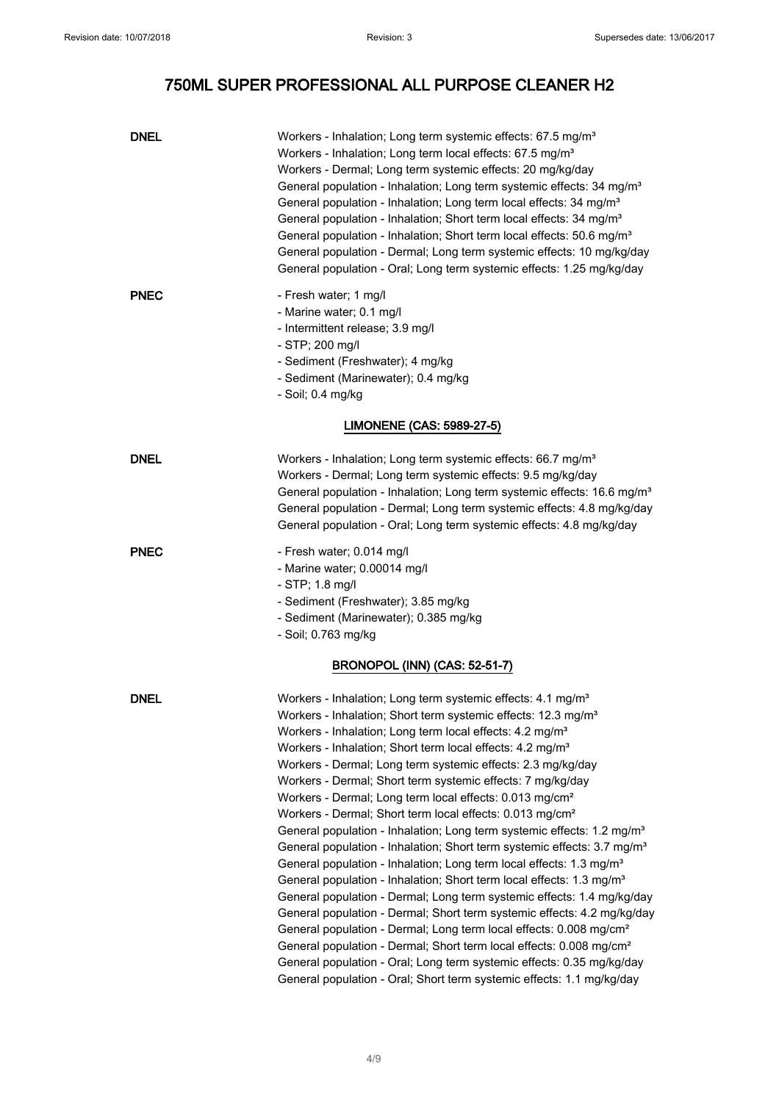| <b>DNEL</b>                          | Workers - Inhalation; Long term systemic effects: 67.5 mg/m <sup>3</sup><br>Workers - Inhalation; Long term local effects: 67.5 mg/m <sup>3</sup><br>Workers - Dermal; Long term systemic effects: 20 mg/kg/day<br>General population - Inhalation; Long term systemic effects: 34 mg/m <sup>3</sup><br>General population - Inhalation; Long term local effects: 34 mg/m <sup>3</sup><br>General population - Inhalation; Short term local effects: 34 mg/m <sup>3</sup><br>General population - Inhalation; Short term local effects: 50.6 mg/m <sup>3</sup><br>General population - Dermal; Long term systemic effects: 10 mg/kg/day<br>General population - Oral; Long term systemic effects: 1.25 mg/kg/day                                                                                                                                                                                                                                                                                                                                                                                                                                                                                                                                                                                                                                                                                                  |  |
|--------------------------------------|-------------------------------------------------------------------------------------------------------------------------------------------------------------------------------------------------------------------------------------------------------------------------------------------------------------------------------------------------------------------------------------------------------------------------------------------------------------------------------------------------------------------------------------------------------------------------------------------------------------------------------------------------------------------------------------------------------------------------------------------------------------------------------------------------------------------------------------------------------------------------------------------------------------------------------------------------------------------------------------------------------------------------------------------------------------------------------------------------------------------------------------------------------------------------------------------------------------------------------------------------------------------------------------------------------------------------------------------------------------------------------------------------------------------|--|
| <b>PNEC</b>                          | - Fresh water; 1 mg/l<br>- Marine water; 0.1 mg/l<br>- Intermittent release; 3.9 mg/l<br>- STP; 200 mg/l<br>- Sediment (Freshwater); 4 mg/kg<br>- Sediment (Marinewater); 0.4 mg/kg<br>- Soil; 0.4 mg/kg                                                                                                                                                                                                                                                                                                                                                                                                                                                                                                                                                                                                                                                                                                                                                                                                                                                                                                                                                                                                                                                                                                                                                                                                          |  |
|                                      | LIMONENE (CAS: 5989-27-5)                                                                                                                                                                                                                                                                                                                                                                                                                                                                                                                                                                                                                                                                                                                                                                                                                                                                                                                                                                                                                                                                                                                                                                                                                                                                                                                                                                                         |  |
| DNEL                                 | Workers - Inhalation; Long term systemic effects: 66.7 mg/m <sup>3</sup><br>Workers - Dermal; Long term systemic effects: 9.5 mg/kg/day<br>General population - Inhalation; Long term systemic effects: 16.6 mg/m <sup>3</sup><br>General population - Dermal; Long term systemic effects: 4.8 mg/kg/day<br>General population - Oral; Long term systemic effects: 4.8 mg/kg/day                                                                                                                                                                                                                                                                                                                                                                                                                                                                                                                                                                                                                                                                                                                                                                                                                                                                                                                                                                                                                                  |  |
| <b>PNEC</b>                          | - Fresh water; 0.014 mg/l<br>- Marine water; 0.00014 mg/l<br>- STP; 1.8 mg/l<br>- Sediment (Freshwater); 3.85 mg/kg<br>- Sediment (Marinewater); 0.385 mg/kg<br>- Soil; 0.763 mg/kg                                                                                                                                                                                                                                                                                                                                                                                                                                                                                                                                                                                                                                                                                                                                                                                                                                                                                                                                                                                                                                                                                                                                                                                                                               |  |
| <b>BRONOPOL (INN) (CAS: 52-51-7)</b> |                                                                                                                                                                                                                                                                                                                                                                                                                                                                                                                                                                                                                                                                                                                                                                                                                                                                                                                                                                                                                                                                                                                                                                                                                                                                                                                                                                                                                   |  |
| <b>DNEL</b>                          | Workers - Inhalation; Long term systemic effects: 4.1 mg/m <sup>3</sup><br>Workers - Inhalation; Short term systemic effects: 12.3 mg/m <sup>3</sup><br>Workers - Inhalation; Long term local effects: 4.2 mg/m <sup>3</sup><br>Workers - Inhalation; Short term local effects: 4.2 mg/m <sup>3</sup><br>Workers - Dermal; Long term systemic effects: 2.3 mg/kg/day<br>Workers - Dermal; Short term systemic effects: 7 mg/kg/day<br>Workers - Dermal; Long term local effects: 0.013 mg/cm <sup>2</sup><br>Workers - Dermal; Short term local effects: 0.013 mg/cm <sup>2</sup><br>General population - Inhalation; Long term systemic effects: 1.2 mg/m <sup>3</sup><br>General population - Inhalation; Short term systemic effects: 3.7 mg/m <sup>3</sup><br>General population - Inhalation; Long term local effects: 1.3 mg/m <sup>3</sup><br>General population - Inhalation; Short term local effects: 1.3 mg/m <sup>3</sup><br>General population - Dermal; Long term systemic effects: 1.4 mg/kg/day<br>General population - Dermal; Short term systemic effects: 4.2 mg/kg/day<br>General population - Dermal; Long term local effects: 0.008 mg/cm <sup>2</sup><br>General population - Dermal; Short term local effects: 0.008 mg/cm <sup>2</sup><br>General population - Oral; Long term systemic effects: 0.35 mg/kg/day<br>General population - Oral; Short term systemic effects: 1.1 mg/kg/day |  |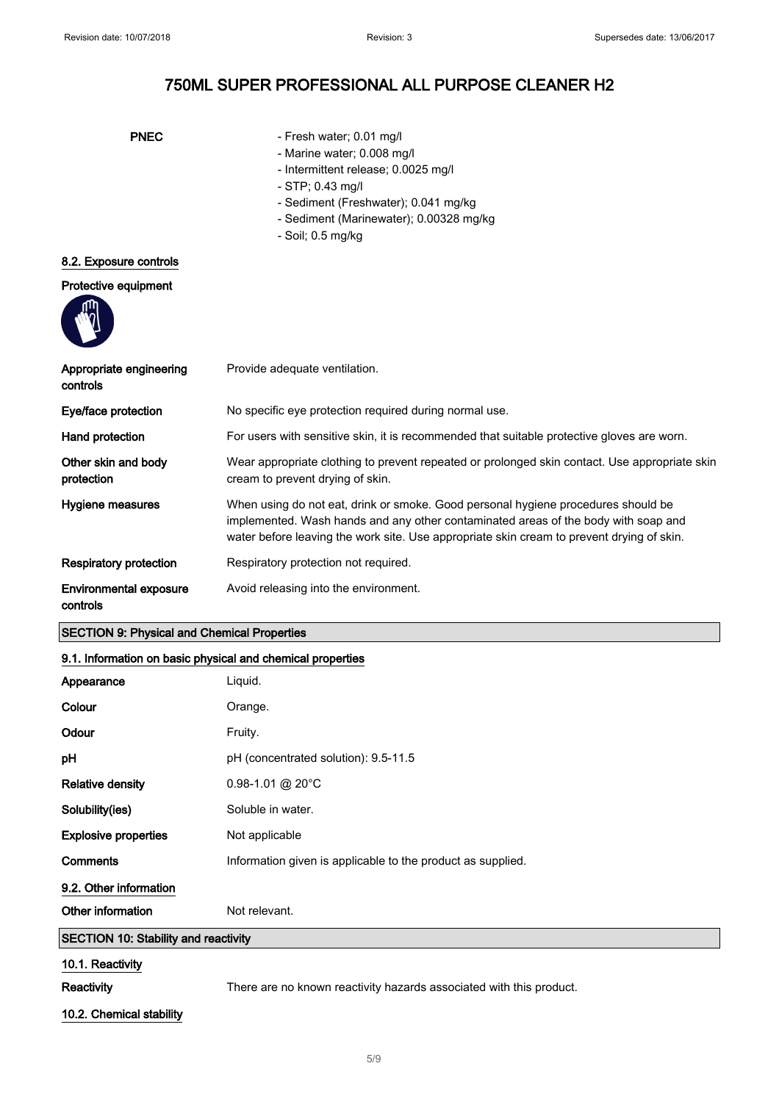- PNEC Fresh water; 0.01 mg/l
	- Marine water; 0.008 mg/l
	- Intermittent release; 0.0025 mg/l
	- STP; 0.43 mg/l
	- Sediment (Freshwater); 0.041 mg/kg
	- Sediment (Marinewater); 0.00328 mg/kg
	- Soil; 0.5 mg/kg

### 8.2. Exposure controls

### Protective equipment



| Appropriate engineering<br>controls       | Provide adequate ventilation.                                                                                                                                                                                                                                        |
|-------------------------------------------|----------------------------------------------------------------------------------------------------------------------------------------------------------------------------------------------------------------------------------------------------------------------|
| Eye/face protection                       | No specific eye protection required during normal use.                                                                                                                                                                                                               |
| Hand protection                           | For users with sensitive skin, it is recommended that suitable protective gloves are worn.                                                                                                                                                                           |
| Other skin and body<br>protection         | Wear appropriate clothing to prevent repeated or prolonged skin contact. Use appropriate skin<br>cream to prevent drying of skin.                                                                                                                                    |
| Hygiene measures                          | When using do not eat, drink or smoke. Good personal hygiene procedures should be<br>implemented. Wash hands and any other contaminated areas of the body with soap and<br>water before leaving the work site. Use appropriate skin cream to prevent drying of skin. |
| <b>Respiratory protection</b>             | Respiratory protection not required.                                                                                                                                                                                                                                 |
| <b>Environmental exposure</b><br>controls | Avoid releasing into the environment.                                                                                                                                                                                                                                |

### SECTION 9: Physical and Chemical Properties

### 9.1. Information on basic physical and chemical properties

| Appearance                                  | Liquid.                                                     |
|---------------------------------------------|-------------------------------------------------------------|
| Colour                                      | Orange.                                                     |
| Odour                                       | Fruity.                                                     |
| pH                                          | pH (concentrated solution): 9.5-11.5                        |
| <b>Relative density</b>                     | $0.98 - 1.01$ @ 20°C                                        |
| Solubility(ies)                             | Soluble in water.                                           |
| <b>Explosive properties</b>                 | Not applicable                                              |
| <b>Comments</b>                             | Information given is applicable to the product as supplied. |
| 9.2. Other information                      |                                                             |
| Other information                           | Not relevant.                                               |
| <b>SECTION 10: Stability and reactivity</b> |                                                             |
| 10.1. Reactivity                            |                                                             |

Reactivity **Reactivity** There are no known reactivity hazards associated with this product.

### 10.2. Chemical stability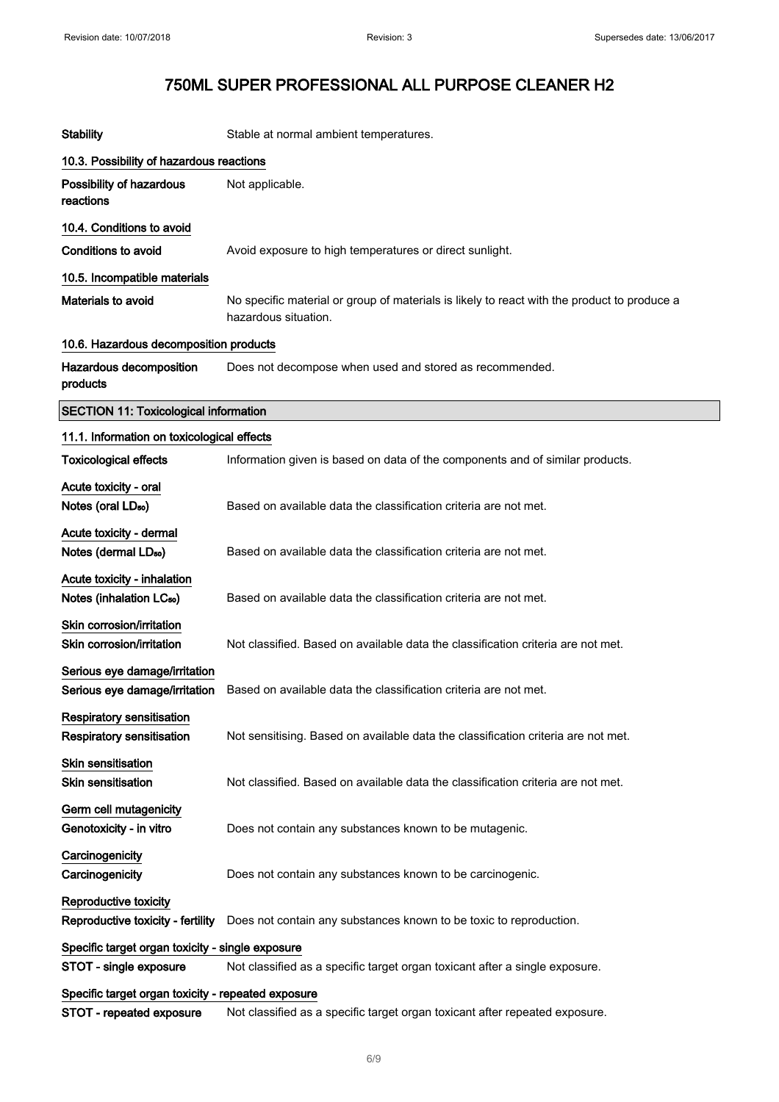| <b>Stability</b>                                           | Stable at normal ambient temperatures.                                                                              |
|------------------------------------------------------------|---------------------------------------------------------------------------------------------------------------------|
| 10.3. Possibility of hazardous reactions                   |                                                                                                                     |
| Possibility of hazardous<br>reactions                      | Not applicable.                                                                                                     |
| 10.4. Conditions to avoid                                  |                                                                                                                     |
| <b>Conditions to avoid</b>                                 | Avoid exposure to high temperatures or direct sunlight.                                                             |
| 10.5. Incompatible materials                               |                                                                                                                     |
| Materials to avoid                                         | No specific material or group of materials is likely to react with the product to produce a<br>hazardous situation. |
| 10.6. Hazardous decomposition products                     |                                                                                                                     |
| Hazardous decomposition<br>products                        | Does not decompose when used and stored as recommended.                                                             |
| <b>SECTION 11: Toxicological information</b>               |                                                                                                                     |
| 11.1. Information on toxicological effects                 |                                                                                                                     |
| <b>Toxicological effects</b>                               | Information given is based on data of the components and of similar products.                                       |
| Acute toxicity - oral                                      |                                                                                                                     |
| Notes (oral LD <sub>50</sub> )                             | Based on available data the classification criteria are not met.                                                    |
| Acute toxicity - dermal                                    |                                                                                                                     |
| Notes (dermal LD <sub>50</sub> )                           | Based on available data the classification criteria are not met.                                                    |
| Acute toxicity - inhalation                                |                                                                                                                     |
| Notes (inhalation LC <sub>50</sub> )                       | Based on available data the classification criteria are not met.                                                    |
| Skin corrosion/irritation<br>Skin corrosion/irritation     | Not classified. Based on available data the classification criteria are not met.                                    |
| Serious eye damage/irritation                              |                                                                                                                     |
| Serious eye damage/irritation                              | Based on available data the classification criteria are not met.                                                    |
| Respiratory sensitisation<br>Respiratory sensitisation     | Not sensitising. Based on available data the classification criteria are not met.                                   |
| <b>Skin sensitisation</b><br><b>Skin sensitisation</b>     | Not classified. Based on available data the classification criteria are not met.                                    |
| Germ cell mutagenicity<br>Genotoxicity - in vitro          | Does not contain any substances known to be mutagenic.                                                              |
| Carcinogenicity<br>Carcinogenicity                         | Does not contain any substances known to be carcinogenic.                                                           |
| Reproductive toxicity<br>Reproductive toxicity - fertility | Does not contain any substances known to be toxic to reproduction.                                                  |
| Specific target organ toxicity - single exposure           |                                                                                                                     |
| STOT - single exposure                                     | Not classified as a specific target organ toxicant after a single exposure.                                         |
| Specific target organ toxicity - repeated exposure         |                                                                                                                     |
| STOT - repeated exposure                                   | Not classified as a specific target organ toxicant after repeated exposure.                                         |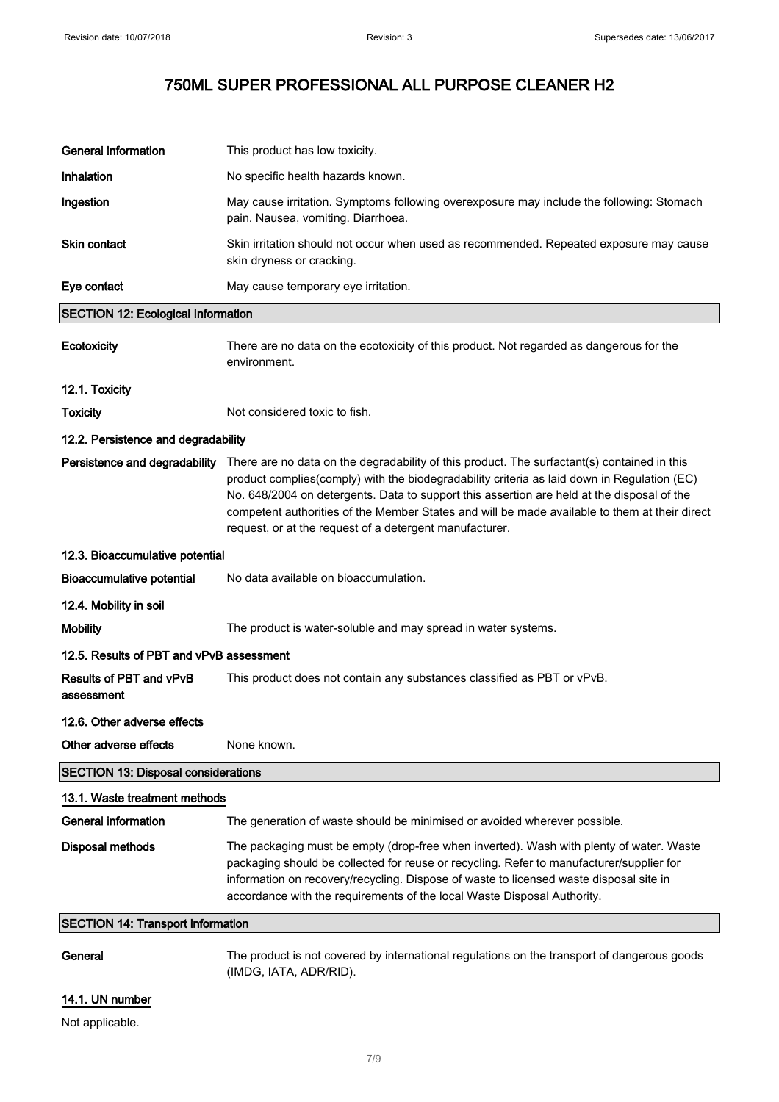| <b>General information</b>                 | This product has low toxicity.                                                                                                                                                                                                                                                                                                                                                                                                                       |  |
|--------------------------------------------|------------------------------------------------------------------------------------------------------------------------------------------------------------------------------------------------------------------------------------------------------------------------------------------------------------------------------------------------------------------------------------------------------------------------------------------------------|--|
| Inhalation                                 | No specific health hazards known.                                                                                                                                                                                                                                                                                                                                                                                                                    |  |
| Ingestion                                  | May cause irritation. Symptoms following overexposure may include the following: Stomach<br>pain. Nausea, vomiting. Diarrhoea.                                                                                                                                                                                                                                                                                                                       |  |
| Skin contact                               | Skin irritation should not occur when used as recommended. Repeated exposure may cause<br>skin dryness or cracking.                                                                                                                                                                                                                                                                                                                                  |  |
| Eye contact                                | May cause temporary eye irritation.                                                                                                                                                                                                                                                                                                                                                                                                                  |  |
| <b>SECTION 12: Ecological Information</b>  |                                                                                                                                                                                                                                                                                                                                                                                                                                                      |  |
| Ecotoxicity                                | There are no data on the ecotoxicity of this product. Not regarded as dangerous for the<br>environment.                                                                                                                                                                                                                                                                                                                                              |  |
| 12.1. Toxicity                             |                                                                                                                                                                                                                                                                                                                                                                                                                                                      |  |
| <b>Toxicity</b>                            | Not considered toxic to fish.                                                                                                                                                                                                                                                                                                                                                                                                                        |  |
| 12.2. Persistence and degradability        |                                                                                                                                                                                                                                                                                                                                                                                                                                                      |  |
| Persistence and degradability              | There are no data on the degradability of this product. The surfactant(s) contained in this<br>product complies(comply) with the biodegradability criteria as laid down in Regulation (EC)<br>No. 648/2004 on detergents. Data to support this assertion are held at the disposal of the<br>competent authorities of the Member States and will be made available to them at their direct<br>request, or at the request of a detergent manufacturer. |  |
| 12.3. Bioaccumulative potential            |                                                                                                                                                                                                                                                                                                                                                                                                                                                      |  |
| <b>Bioaccumulative potential</b>           | No data available on bioaccumulation.                                                                                                                                                                                                                                                                                                                                                                                                                |  |
| 12.4. Mobility in soil                     |                                                                                                                                                                                                                                                                                                                                                                                                                                                      |  |
| <b>Mobility</b>                            | The product is water-soluble and may spread in water systems.                                                                                                                                                                                                                                                                                                                                                                                        |  |
| 12.5. Results of PBT and vPvB assessment   |                                                                                                                                                                                                                                                                                                                                                                                                                                                      |  |
| Results of PBT and vPvB<br>assessment      | This product does not contain any substances classified as PBT or vPvB.                                                                                                                                                                                                                                                                                                                                                                              |  |
| 12.6. Other adverse effects                |                                                                                                                                                                                                                                                                                                                                                                                                                                                      |  |
| Other adverse effects                      | None known.                                                                                                                                                                                                                                                                                                                                                                                                                                          |  |
| <b>SECTION 13: Disposal considerations</b> |                                                                                                                                                                                                                                                                                                                                                                                                                                                      |  |
| 13.1. Waste treatment methods              |                                                                                                                                                                                                                                                                                                                                                                                                                                                      |  |
| <b>General information</b>                 | The generation of waste should be minimised or avoided wherever possible.                                                                                                                                                                                                                                                                                                                                                                            |  |
| <b>Disposal methods</b>                    | The packaging must be empty (drop-free when inverted). Wash with plenty of water. Waste<br>packaging should be collected for reuse or recycling. Refer to manufacturer/supplier for<br>information on recovery/recycling. Dispose of waste to licensed waste disposal site in<br>accordance with the requirements of the local Waste Disposal Authority.                                                                                             |  |
| <b>SECTION 14: Transport information</b>   |                                                                                                                                                                                                                                                                                                                                                                                                                                                      |  |
| General                                    | The product is not covered by international regulations on the transport of dangerous goods                                                                                                                                                                                                                                                                                                                                                          |  |

14.1. UN number

Not applicable.

(IMDG, IATA, ADR/RID).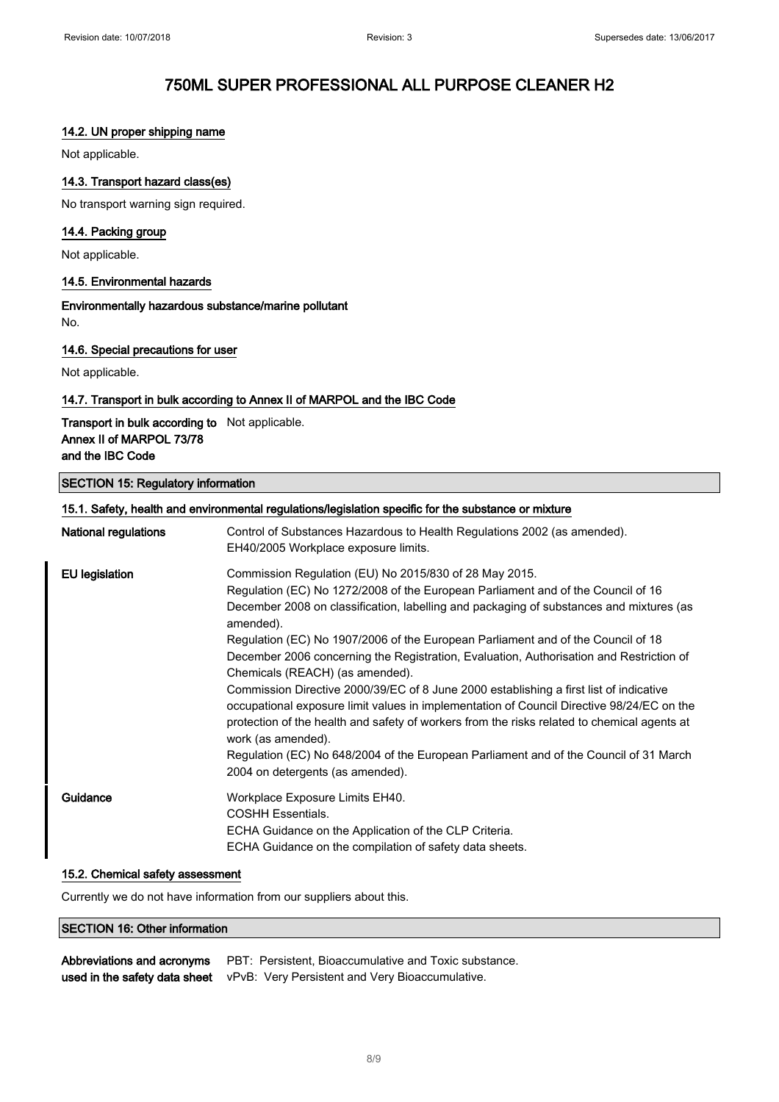### 14.2. UN proper shipping name

Not applicable.

### 14.3. Transport hazard class(es)

No transport warning sign required.

### 14.4. Packing group

Not applicable.

### 14.5. Environmental hazards

Environmentally hazardous substance/marine pollutant No.

### 14.6. Special precautions for user

Not applicable.

### 14.7. Transport in bulk according to Annex II of MARPOL and the IBC Code

Transport in bulk according to Not applicable. Annex II of MARPOL 73/78 and the IBC Code

### SECTION 15: Regulatory information

### 15.1. Safety, health and environmental regulations/legislation specific for the substance or mixture

| <b>National regulations</b> | Control of Substances Hazardous to Health Regulations 2002 (as amended).<br>EH40/2005 Workplace exposure limits.                                                                                                                                                                                                                                                                                                                                                                                                                                                    |
|-----------------------------|---------------------------------------------------------------------------------------------------------------------------------------------------------------------------------------------------------------------------------------------------------------------------------------------------------------------------------------------------------------------------------------------------------------------------------------------------------------------------------------------------------------------------------------------------------------------|
| EU legislation              | Commission Regulation (EU) No 2015/830 of 28 May 2015.<br>Regulation (EC) No 1272/2008 of the European Parliament and of the Council of 16<br>December 2008 on classification, labelling and packaging of substances and mixtures (as<br>amended).<br>Regulation (EC) No 1907/2006 of the European Parliament and of the Council of 18                                                                                                                                                                                                                              |
|                             | December 2006 concerning the Registration, Evaluation, Authorisation and Restriction of<br>Chemicals (REACH) (as amended).<br>Commission Directive 2000/39/EC of 8 June 2000 establishing a first list of indicative<br>occupational exposure limit values in implementation of Council Directive 98/24/EC on the<br>protection of the health and safety of workers from the risks related to chemical agents at<br>work (as amended).<br>Regulation (EC) No 648/2004 of the European Parliament and of the Council of 31 March<br>2004 on detergents (as amended). |
| Guidance                    | Workplace Exposure Limits EH40.<br><b>COSHH Essentials.</b><br>ECHA Guidance on the Application of the CLP Criteria.<br>ECHA Guidance on the compilation of safety data sheets.                                                                                                                                                                                                                                                                                                                                                                                     |

#### 15.2. Chemical safety assessment

Currently we do not have information from our suppliers about this.

### SECTION 16: Other information

| Abbreviations and acronyms | PBT: Persistent, Bioaccumulative and Toxic substance.                         |
|----------------------------|-------------------------------------------------------------------------------|
|                            | used in the safety data sheet vPvB: Very Persistent and Very Bioaccumulative. |